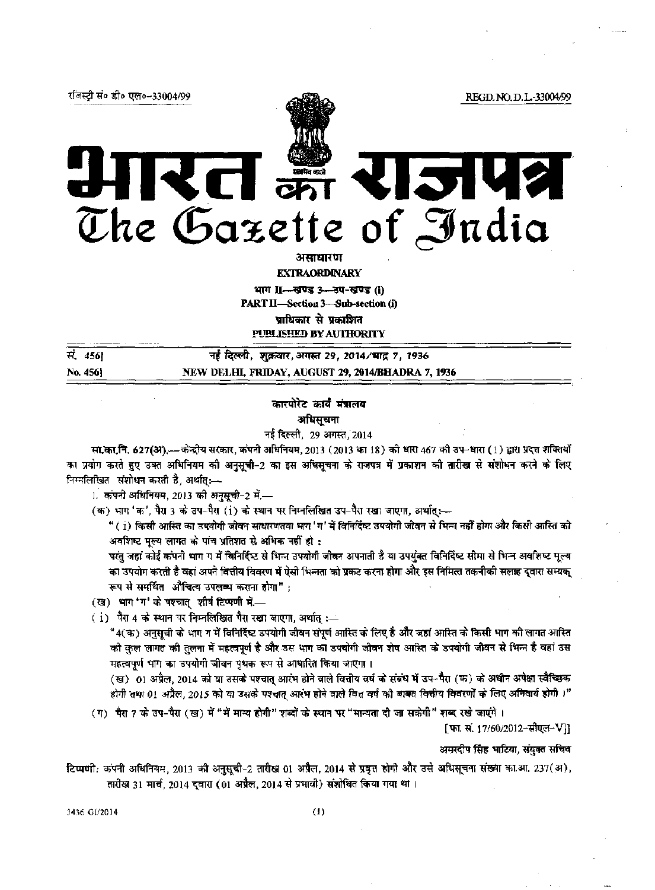रजिस्टी सं० डी० एल०-33004/99

REGD. NO. D. L.-33004/99

 $\mathcal{F}$ र्न 1.51 The Gazette of India

असाधारण

EXTRAORDINARY

भाग II-स्रुण्ड 3-उप-खण्ड (i)

PART II-Section 3-Sub-section (i)

प्राधिकार से प्रकाशित

PUBLISHED BY AUTHORITY

| सं. 456} | नई दिल्ली, शुक्रवार,अगस्त 29, 2014/भाद्र 7, 1936  |
|----------|---------------------------------------------------|
| No. 456} | NEW DELHI, FRIDAY, AUGUST 29, 2014/BHADRA 7, 1936 |

## कारपोरेट कार्य मंत्रालय

अधिसूचना

नई दिल्ली, 29 अगस्त, 2014

सा.का.नि. 627(अ),—केन्द्रीय सरकार, कंपनी अधिनियम, 2013 (2013 का 18) की धारा 467 की उप-धारा (1) द्वारा प्रदत्त शक्तियों का प्रयोग करते हुए उक्त अधिनियम की अनुसूची-2 का इस अधिसूचना के राजपत्र में प्रकाशन की तारीख से संशोधन करने के लिए निम्नलिखित संशोधन करती है, अर्थात् :--

1. कंपनी अधिनियम, 2013 की अनुसूची-2 में.—

(क) भाग 'क', पैरा 3 के उप-पैरा (i) के स्थान पर निम्नलिखित उप-पैरा रखा जाएगा, अर्थात्:---

" ( i) किसी आस्ति का उपयोगी जीवन साधारणतया भाग 'ग' में विनिर्दिष्ट उपयोगी जीवन से भिन्न नहीं होगा और किसी आस्ति को अवशिष्ट मूल्य लागत के पांच प्रतिशत से अधिक नहीं हो :

परंतु जहां कोई कंपनी भाग ग में विनिर्दिष्ट से भिन्न उपयोगी जीवन अपनाती है या उपर्युक्त विनिर्दिष्ट सीमा से भिन्न अवशिष्ट मूल्य का उपयोग करती है वहां अपने वित्तीय विवरण में ऐसी भिन्नता को प्रकट करना होगा और इस निमित्त तकनीकी सलाह दुवारा सम्यक् रूप से समर्थित औचित्य उपलब्ध कराना होगा" ;

(ख) भाग 'ग' के पश्चात् शीर्ष टिप्पणी में....

(i) पैरा 4 के स्थान पर निम्नलिखित पैरा रखा जाएगा, अर्थात् :-

"4(क) अनुसूची के भाग ग में विनिर्दिष्ट उपयोगी जीवन संपूर्ण आस्ति के लिए है और जहां आस्ति के किसी भाग की लागत आस्ति की कुल लागत की तुलना में महत्वपूर्ण है और उस भाग का उपयोगी जीवन शेष आस्ति के उपयोगी जीवन से भिन्न है वहां उस महत्वपूर्ण भाग का उपयोगी जीवन पृथक रूप से आधारित किया जाएगा।

(ख) 01 अप्रैल, 2014 को या उसके पश्चात् आरंभ होने वाले वित्तीय वर्ष के संबंध में उप-पैरा (क) के अधीन अपेक्षा स्वैच्छिक होगी तथा 01 अप्रैल, 2015 को या उसके पश्चात् आरंभ होने वाले वित्त वर्ष को बाबत वित्तीय विवरणों के लिए अनिवार्य होगी ।"

(ग) पैरा 7 के उप-पैरा (ख) में "में मान्य होगी" शब्दों के स्थान पर "मान्यता दी जा सकेगी" शब्द रखे जाएंगे ।

[फा. सं. 17/60/2012-सीएल-V]]

अमरदीप सिंह भाटिया, संयुक्त सचिव

टिप्पणी: कंपनी अधिनियम, 2013 की अनुसूची-2 तारीख 01 अप्रैल, 2014 से प्रवृत्त होगी और उसे अधिसूचना संख्या का.आ. 237(अ), तारीख 31 मार्च, 2014 दुवारा (01 अप्रैल, 2014 से प्रभावी) संशोधित किया गया था ।

3436 G1/2014